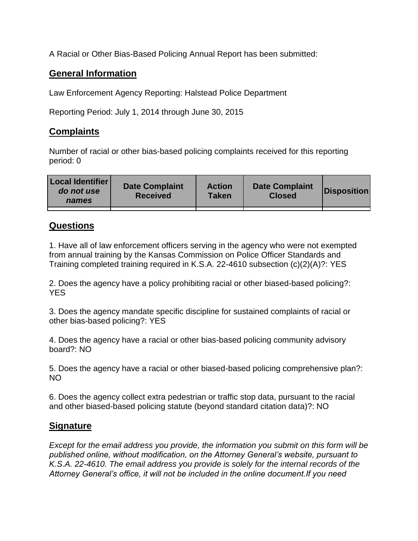A Racial or Other Bias-Based Policing Annual Report has been submitted:

## **General Information**

Law Enforcement Agency Reporting: Halstead Police Department

Reporting Period: July 1, 2014 through June 30, 2015

## **Complaints**

Number of racial or other bias-based policing complaints received for this reporting period: 0

| <b>Local Identifier</b><br>do not use<br>names | <b>Date Complaint</b><br><b>Received</b> | <b>Action</b><br><b>Taken</b> | <b>Date Complaint</b><br><b>Closed</b> | Disposition |
|------------------------------------------------|------------------------------------------|-------------------------------|----------------------------------------|-------------|
|                                                |                                          |                               |                                        |             |

## **Questions**

1. Have all of law enforcement officers serving in the agency who were not exempted from annual training by the Kansas Commission on Police Officer Standards and Training completed training required in K.S.A. 22-4610 subsection (c)(2)(A)?: YES

2. Does the agency have a policy prohibiting racial or other biased-based policing?: YES

3. Does the agency mandate specific discipline for sustained complaints of racial or other bias-based policing?: YES

4. Does the agency have a racial or other bias-based policing community advisory board?: NO

5. Does the agency have a racial or other biased-based policing comprehensive plan?: NO

6. Does the agency collect extra pedestrian or traffic stop data, pursuant to the racial and other biased-based policing statute (beyond standard citation data)?: NO

## **Signature**

*Except for the email address you provide, the information you submit on this form will be published online, without modification, on the Attorney General's website, pursuant to K.S.A. 22-4610. The email address you provide is solely for the internal records of the Attorney General's office, it will not be included in the online document.If you need*